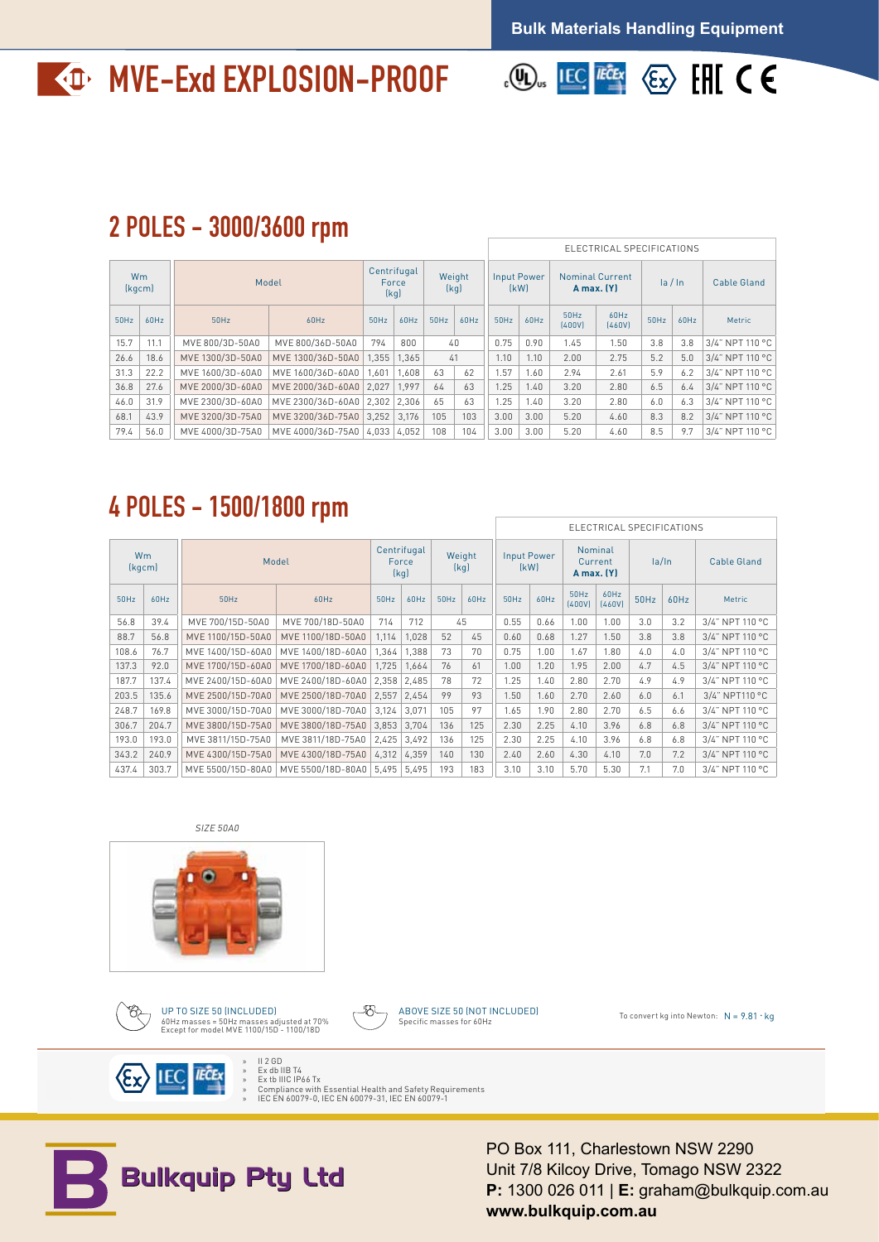# **MVE-Exd EXPLOSION-PROOF**



### 2 POLES - 3000/3600 rpm

|                     |             |                 |                                                                                                                                                            |  |                                                |  |                       |  |                     | ELECTRICAL SPECIFICATIONS |                |         |             |                                                         |  |  |
|---------------------|-------------|-----------------|------------------------------------------------------------------------------------------------------------------------------------------------------------|--|------------------------------------------------|--|-----------------------|--|---------------------|---------------------------|----------------|---------|-------------|---------------------------------------------------------|--|--|
| <b>Wm</b><br>(kgcm) |             | Model           |                                                                                                                                                            |  | Centrifugal<br>Weight<br>Force<br>(kq)<br>(kg) |  |                       |  | Input Power<br>[kW] | <b>Nominal Current</b>    | A max. (Y)     | la / ln |             | Cable Gland                                             |  |  |
| 50Hz 60Hz           |             | 50Hz            | 60Hz                                                                                                                                                       |  |                                                |  | $50Hz$ 60Hz 50Hz 60Hz |  | $50$ Hz 60Hz        | 50Hz<br>(400V)            | 60Hz<br>(460V) |         | $50Hz$ 60Hz | Metric                                                  |  |  |
| $15.7$ 11.1         |             | MVE 800/3D-50A0 | MVE 800/36D-50A0 794 800                                                                                                                                   |  |                                                |  | 40                    |  | $0.75$ 0.90         | 1.45                      | 1.50           |         |             | $3.8$   3.8   3/4" NPT 110 °C                           |  |  |
|                     | $26.6$ 18.6 |                 | MVE 1300/3D-50A0   MVE 1300/36D-50A0   1,355   1,365                                                                                                       |  |                                                |  | 41                    |  |                     | $1.10$   $1.10$   2.00    |                |         |             | 2.75   5.2   5.0   $3/4$ " NPT 110 °C                   |  |  |
|                     |             |                 | $\mid$ 31.3 $\mid$ 22.2 $\mid$ MVE 1600/3D-60A0 $\mid$ MVE 1600/36D-60A0 $\mid$ 1,601 $\mid$ 1,608 $\mid$ 63 $\mid$ 62 $\mid$ 1.57 $\mid$ 1.60 $\mid$ 2.94 |  |                                                |  |                       |  |                     |                           |                |         |             | 2.61   5.9   6.2   3/4" NPT 110 °C                      |  |  |
|                     |             |                 | 36.8 27.6 MVE 2000/3D-60A0 MVE 2000/36D-60A0 2,027 1,997 64 63 1.25 1.40 3.20                                                                              |  |                                                |  |                       |  |                     |                           | 2.80           |         |             | 6.5 6.4 3/4" NPT 110 °C                                 |  |  |
|                     |             |                 | $\mid$ 46.0 31.9 $\mid$ MVE 2300/3D-60A0 $\mid$ MVE 2300/36D-60A0 $\mid$ 2,302 $\mid$ 2,306 $\mid$ 65 $\mid$ 63 $\mid$ 1.25 $\mid$ 1.40 $\mid$ 3.20        |  |                                                |  |                       |  |                     |                           | 2.80           |         |             | $6.0$   $6.3$   $3/4$ " NPT 110 °C                      |  |  |
|                     | 68.1 43.9   |                 | MVE 3200/3D-75A0   MVE 3200/36D-75A0   3,252   3,176   105   103     3.00   3.00   5.20                                                                    |  |                                                |  |                       |  |                     |                           |                |         |             | $4.60$   8.3   8.2   3/4" NPT 110 °C                    |  |  |
|                     |             |                 | 79.4   56.0    MVE 4000/3D-75A0   MVE 4000/36D-75A0   4,033   4,052   108   104    3.00   3.00   5.20                                                      |  |                                                |  |                       |  |                     |                           | 4.60           |         |             | $\vert$ 8.5 $\vert$ 9.7 $\vert$ 3/4" NPT 110 °C $\vert$ |  |  |

## 4 POLES - 1500/1800 rpm

|  |                 |                                                                                   |                                           |                  |  |                            |      |                                  | ELECTRICAL SPECIFICATIONS |                                   |           |                    |                               |  |  |
|--|-----------------|-----------------------------------------------------------------------------------|-------------------------------------------|------------------|--|----------------------------|------|----------------------------------|---------------------------|-----------------------------------|-----------|--------------------|-------------------------------|--|--|
|  | Wm<br>[kgcm]    | Model                                                                             | Centrifugal<br>Force<br>[k <sub>d</sub> ] |                  |  | <b>Input Power</b><br>(kW) |      | Nominal<br>Current<br>A max. (Y) |                           | la/In                             |           | <b>Cable Gland</b> |                               |  |  |
|  | $50$ Hz $60$ Hz | 50Hz                                                                              | 60Hz                                      | $50Hz$ 60Hz 50Hz |  | 60Hz                       |      | $50$ Hz $60$ Hz                  |                           | 60Hz<br>$(400V)$ $(460V)$         | 50Hz 60Hz |                    | Metric                        |  |  |
|  | 56.8 39.4       | MVE 700/15D-50A0   MVE 700/18D-50A0   714   712                                   |                                           |                  |  | 45                         |      | $0.55$ 0.66                      | 1.00                      | 1.00                              | 3.0       | 3.2                | 3/4" NPT 110 °C               |  |  |
|  | 88.7 56.8       | MVE 1100/15D-50A0   MVE 1100/18D-50A0   1,114   1,028                             |                                           |                  |  | 52 45                      |      | $0.60$ 0.68                      | 1.27                      | 1.50                              | 3.8       | 3.8                | $\vert$ 3/4" NPT 110 °C       |  |  |
|  | 108.6 76.7      | MVE 1400/15D-60A0   MVE 1400/18D-60A0   1,364   1,388                             |                                           |                  |  | 73 70                      | 0.75 |                                  |                           | $1.00$   $1.67$   $1.80$          | 4.0       |                    | 4.0 3/4" NPT 110 °C           |  |  |
|  | $137.3$ 92.0    | MVE 1700/15D-60A0   MVE 1700/18D-60A0   1,725   1,664   76   61                   |                                           |                  |  |                            |      |                                  |                           | $1.00$   $1.20$   $1.95$   $2.00$ | 4.7       |                    | 4.5 3/4" NPT 110 °C           |  |  |
|  | 187.7 137.4     | MVE 2400/15D-60A0   MVE 2400/18D-60A0   2,358   2,485   78   72                   |                                           |                  |  |                            | 1.25 |                                  |                           | $1.40$   2.80   2.70              | 4.9       |                    | $\frac{1}{2}$ 3/4" NPT 110 °C |  |  |
|  | 203.5 135.6     | MVE 2500/15D-70A0   MVE 2500/18D-70A0   2,557   2,454                             |                                           |                  |  | 99 93                      |      |                                  |                           | $1.50$   $1.60$   $2.70$   $2.60$ | 6.0       | 6.1                | 3/4" NPT110 °C                |  |  |
|  |                 | 248.7   169.8    MVE 3000/15D-70A0   MVE 3000/18D-70A0   3,124   3,071   105   97 |                                           |                  |  |                            |      |                                  |                           | $1.65$   1.90   2.80   2.70       | 6.5       |                    | 6.6 3/4" NPT 110 °C           |  |  |
|  | $306.7$ 204.7   | MVE 3800/15D-75A0   MVE 3800/18D-75A0   3,853   3,704   136   125                 |                                           |                  |  |                            |      |                                  |                           | $2.30$   2.25   4.10   3.96       | 6.8       |                    | $\vert$ 3/4" NPT 110 °C       |  |  |
|  | 193.0 193.0     | MVE 3811/15D-75A0   MVE 3811/18D-75A0   2,425   3,492   136   125                 |                                           |                  |  |                            |      |                                  |                           | 2.30   2.25   4.10   3.96         | 6.8       |                    | 6.8 $\mid$ 3/4" NPT 110 °C    |  |  |
|  | $343.2$ 240.9   | MVE 4300/15D-75A0 MVE 4300/18D-75A0 4,312 4,359 140 130                           |                                           |                  |  |                            |      |                                  |                           | 2.40   2.60   4.30   4.10   7.0   |           |                    | 7.2 3/4" NPT 110 °C           |  |  |
|  | 437.4 303.7     | MVE 5500/15D-80A0   MVE 5500/18D-80A0   5,495   5,495   193   183                 |                                           |                  |  |                            |      |                                  | 3.10   3.10   5.70        | 5.30                              |           | 7.0                | 3/4" NPT 110 °C               |  |  |

#### SIZE 50A0







ABOVE SIZE 50 (NOT INCLUDED)

To convert kg into Newton:  $N = 9.81 \cdot kq$ 



» II 2 GD » Ex db IIB T4 » Ex tb IIIC IP66 Tx » Compliance with Essential Health and Safety Requirements » IEC EN 60079-0, IEC EN 60079-31, IEC EN 60079-1



PO Box 111, Charlestown NSW 2290 Unit 7/8 Kilcoy Drive, Tomago NSW 2322 **P:** 1300 026 011 | **E:** graham@bulkquip.com.au **www.bulkquip.com.au**